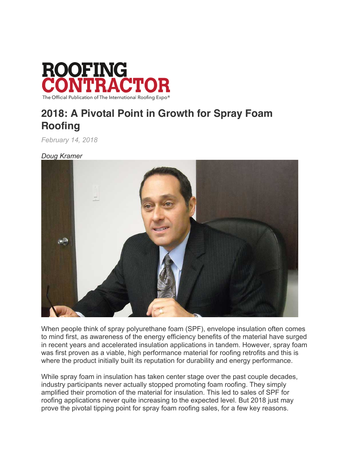

## **2018: A Pivotal Point in Growth for Spray Foam Roofing**

*February 14, 2018*

*Doug Kramer*



When people think of spray polyurethane foam (SPF), envelope insulation often comes to mind first, as awareness of the energy efficiency benefits of the material have surged in recent years and accelerated insulation applications in tandem. However, spray foam was first proven as a viable, high performance material for roofing retrofits and this is where the product initially built its reputation for durability and energy performance.

While spray foam in insulation has taken center stage over the past couple decades, industry participants never actually stopped promoting foam roofing. They simply amplified their promotion of the material for insulation. This led to sales of SPF for roofing applications never quite increasing to the expected level. But 2018 just may prove the pivotal tipping point for spray foam roofing sales, for a few key reasons.